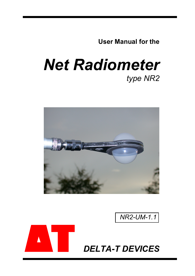**User Manual for the** 

# *Net Radiometer type NR2*







*DELTA-T DEVICES*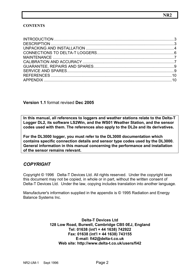#### **CONTENTS**

#### **Version 1.1** format revised **Dec 2005**

**In this manual, all references to loggers and weather stations relate to the Delta-T Logger DL2, its software LS2Win, and the WS01 Weather Station, and the sensor codes used with them. The references also apply to the DL2e and its derivatives.** 

**For the DL3000 logger, you must refer to the DL3000 documentation which contains specific connection details and sensor type codes used by the DL3000. General information in this manual concerning the performance and installation of the sensor remains relevant.** 

## *COPYRIGHT*

Copyright © 1996 Delta-T Devices Ltd. All rights reserved. Under the copyright laws this document may not be copied, in whole or in part, without the written consent of Delta-T Devices Ltd. Under the law, copying includes translation into another language.

Manufacturer's information supplied in the appendix is © 1995 Radiation and Energy Balance Systems Inc.

> **Delta-T Devices Ltd 128 Low Road, Burwell, Cambridge CB5 0EJ, England Tel: 01638 (int'l + 44 1638) 742922 Fax: 01638 (int'l + 44 1638) 743155 E-mail: fi42@delta-t.co.uk Web site: http://www.delta-t.co.uk/users/fi42**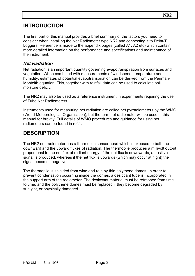## <span id="page-2-0"></span>**INTRODUCTION**

The first part of this manual provides a brief summary of the factors you need to consider when installing the Net Radiometer type NR2 and connecting it to Delta-T Loggers. Reference is made to the appendix pages (called A1, A2 etc) which contain more detailed information on the performance and specifications and maintenance of the instrument.

#### *Net Radiation*

Net radiation is an important quantity governing evapotranspiration from surfaces and vegetation. When combined with measurements of windspeed, temperature and humidity, estimates of potential evapotranspiration can be derived from the Penman-Monteith equation. This, together with rainfall data can be used to calculate soil moisture deficit.

The NR2 may also be used as a reference instrument in experiments requiring the use of Tube Net Radiometers.

Instruments used for measuring net radiation are called net pyrradiometers by the WMO (World Meteorological Organisation), but the term net radiometer will be used in this manual for brevity. Full details of WMO procedures and guidance for using net radiometers can be found in ref.1.

## **DESCRIPTION**

The NR2 net radiometer has a thermopile sensor head which is exposed to both the downward and the upward fluxes of radiation. The thermopile produces a millivolt output proportional to the net flux of radiant energy. If the net flux is downwards, a positive signal is produced, whereas if the net flux is upwards (which may occur at night) the signal becomes negative.

The thermopile is shielded from wind and rain by thin polythene domes. In order to prevent condensation occurring inside the domes, a desiccant tube is incorporated in the support arm of the radiometer. The desiccant material must be refreshed from time to time, and the polythene domes must be replaced if they become degraded by sunlight, or physically damaged.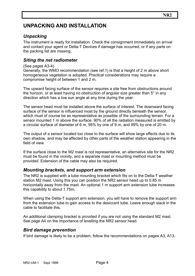# <span id="page-3-0"></span>**UNPACKING AND INSTALLATION**

## *Unpacking*

The instrument is ready for installation. Check the consignment immediately on arrival and contact your agent or Delta-T Devices if damage has occurred, or if any parts on the packing list are missing.

## *Siting the net radiometer*

#### (See pages A3-4)

Generally, the WMO recommendation (see ref.1) is that a height of 2 m above short homogeneous vegetation is adopted. Practical considerations may require a compromise height of between 1 and 2 m.

The upward facing surface of the sensor requires a site free from obstructions around the horizon, or at least having no obstruction of angular size greater than 5° in any direction which has a low sun angle at any time during the year.

The sensor head must be installed above the surface of interest. The downward facing surface of the sensor is influenced most by the ground directly beneath the sensor, which must of course be as representative as possible of the surrounding terrain. For a sensor mounted 1 m above the surface, 90% of all the radiation measured is emitted by a circular surface of diameter of 6 m, 95% by one of 9 m, and 99% by one of 20 m.

The output of a sensor located too close to the surface will show large effects due to its own shadow, and may be affected by other parts of the weather station appearing in the field of view.

If the surface close to the M2 mast is not representative, an alternative site for the NR2 must be found in the vicinity, and a separate mast or mounting method must be provided. Extension of the cable may also be required.

#### *Mounting brackets, and support arm extension*

The NR2 is supplied with a tube mounting bracket which fits on to the Delta-T weather station M2 mast. Using this you can position the NR2 sensor head up to 0.85 m horizontally away from the mast. An optional 1 m support arm extension tube increases this capability to about 1.75m.

When using the Delta-T support arm extension, you will have to remove the support arm from the extension tube to gain access to the desiccant tube. Leave enough slack in the cable to facilitate this.

An additional clamping bracket is provided if you are not using the standard M2 mast. See page A4 on the importance of levelling the NR2 sensor head.

#### *Bird damage prevention*

If bird damage is likely to be a problem, follow the recommendations on pages A3, A13.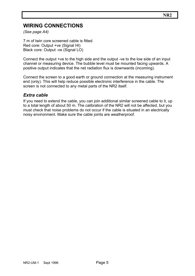# **WIRING CONNECTIONS**

*(See page A4)* 

7 m of twin core screened cable is fitted. Red core: Output +ve (Signal HI) Black core: Output -ve (Signal LO)

Connect the output +ve to the high side and the output -ve to the low side of an input channel or measuring device. The bubble level must be mounted facing upwards. A positive output indicates that the net radiation flux is downwards (incoming).

Connect the screen to a good earth or ground connection at the measuring instrument end (only). This will help reduce possible electronic interference in the cable. The screen is not connected to any metal parts of the NR2 itself.

#### *Extra cable*

If you need to extend the cable, you can join additional similar screened cable to it, up to a total length of about 50 m. The calibration of the NR2 will not be affected, but you must check that noise problems do not occur if the cable is situated in an electrically noisy environment. Make sure the cable joints are weatherproof.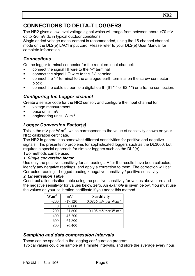# <span id="page-5-0"></span>**CONNECTIONS TO DELTA-T LOGGERS**

The NR2 gives a low level voltage signal which will range from between about +70 mV dc to -20 mV dc in typical outdoor conditions.

Single ended voltage measurement is recommended, using the 15-channel channel mode on the DL2(e) LAC1 input card. Please refer to your DL2(e) User Manual for complete information.

## *Connections*

On the logger terminal connector for the required input channel:

- connect the signal HI wire to the "**+**" terminal
- connect the signal LO wire to the "**-**" terminal
- connect the "-" terminal to the analogue earth terminal on the screw connector block
- connect the cable screen to a digital earth (61 "-" or 62 "-") or a frame connection.

## *Configuring the Logger channel*

Create a sensor code for the NR2 sensor, and configure the input channel for

- voltage measurement
- base units: mV
- engineering units: W.m<sup>-2</sup>

## *Logger Conversion Factor(s)*

This is the mV per  $W.m^{-2}$ , which corresponds to the value of sensitivity shown on your NR2 calibration certificate.

The NR2 in general has somewhat different sensitivities for positive and negative signals. This presents no problems for sophisticated loggers such as the DL3000, but requires a special approach for simpler loggers such as the DL2(e).

Two methods can be used:

#### *1. Single conversion factor*

Use only the positive sensitivity for all readings. After the results have been collected, identify any negative readings, and apply a correction to them. The correction will be: Corrected reading = Logged reading x negative sensitivity / positive sensitivity

#### *2. Linearisation Table*

Construct a linearisation table using the positive sensitivity for values above zero and the negative sensitivity for values below zero. An *example* is given below. You must use the values on your calibration certificate if you adopt this method.

| $W.m^{-2}$ | mV        | <b>Sensitivity</b>               |
|------------|-----------|----------------------------------|
| $-200$     | $-17.120$ | 0.0856 mV per $W.m^{-2}$         |
|            | 0.000     |                                  |
| 200        | 21.600    | $0.108$ mV per W.m <sup>-2</sup> |
| 400        | 43.200    |                                  |
| 600        | 64.800    |                                  |
|            | 86.400    |                                  |

#### *Sampling and data compression intervals*

These can be specified in the logging configuration program.

Typical values could be sample at 1 minute intervals, and store the average every hour.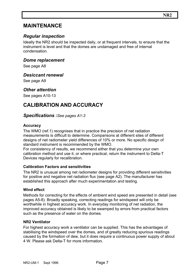## <span id="page-6-0"></span>**MAINTENANCE**

## *Regular inspection*

Ideally the NR2 should be inspected daily, or at frequent intervals, to ensure that the instrument is level and that the domes are undamaged and free of internal condensation.

#### *Dome replacement*

See page A8

#### *Desiccant renewal*

See page A9

#### *Other attention*

See pages A10-13

## **CALIBRATION AND ACCURACY**

#### *Specifications :See pages A1-3*

#### **Accuracy**

The WMO (ref.1) recognises that in practice the precision of net radiation measurements is difficult to determine. Comparisons at different sites of different designs of net radiometer yield differences of 10% or more. No specific design of standard instrument is recommended by the WMO.

For consistency of results, we recommend either that you determine your own calibration method and use it, or where practical, return the instrument to Delta-T Devices regularly for recalibration.

#### **Calibration Factors and sensitivities**

The NR2 is unusual among net radiometer designs for providing different sensitivities for positive and negative net radiation flux (see page A2). The manufacturer has established this approach after much experimentation and testing.

#### **Wind effect**

Methods for correcting for the effects of ambient wind speed are presented in detail (see pages A5-8). Broadly speaking, correcting readings for windspeed will only be worthwhile in highest accuracy work. In everyday monitoring of net radiation, the improved accuracy obtained is likely to be swamped by errors from practical factors such as the presence of water on the domes.

#### **NR2 Ventilator**

For highest accuracy work a ventilator can be supplied. This has the advantages of stabilising the windspeed over the domes, and of greatly reducing spurious readings caused by the formation of dew, but it does require a continuous power supply of about 4 W. Please ask Delta-T for more information.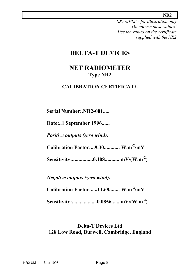#### **NR2**

*EXAMPLE - for illustration only Do not use these values! Use the values on the certificate supplied with the NR2* 

# **DELTA-T DEVICES**

# **NET RADIOMETER Type NR2**

## **CALIBRATION CERTIFICATE**

**Serial Number:.NR2-001.....** 

**Date:..1 September 1996......** 

*Positive outputs (zero wind):* 

**Calibration Factor:...9.30............ W.m-2/mV** 

**Sensitivity:................0.108........... mV/(W.m-2)** 

*Negative outputs (zero wind):* 

**Calibration Factor:.....11.68........ W.m-2/mV** 

**Sensitivity:...................0.0856...... mV/(W.m-2)** 

## **Delta-T Devices Ltd 128 Low Road, Burwell, Cambridge, England**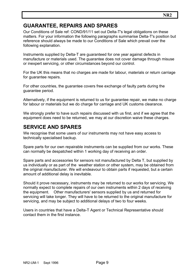# <span id="page-8-0"></span>**GUARANTEE, REPAIRS AND SPARES**

Our Conditions of Sale ref: COND/91/11 set out Delta-T's legal obligations on these matters. For your information the following paragraphs summarise Delta-T's position but reference should always be made to our Conditions of Sale which prevail over the following explanation.

Instruments supplied by Delta-T are guaranteed for one year against defects in manufacture or materials used. The guarantee does not cover damage through misuse or inexpert servicing, or other circumstances beyond our control.

For the UK this means that no charges are made for labour, materials or return carriage for quarantee repairs.

For other countries, the guarantee covers free exchange of faulty parts during the guarantee period.

Alternatively, if the equipment is returned to us for guarantee repair, we make no charge for labour or materials but we do charge for carriage and UK customs clearance.

We strongly prefer to have such repairs discussed with us first, and if we agree that the equipment does need to be returned, we may at our discretion waive these charges.

## **SERVICE AND SPARES**

We recognise that some users of our instruments may not have easy access to technically specialised backup.

Spare parts for our own repairable instruments can be supplied from our works. These can normally be despatched within 1 working day of receiving an order.

Spare parts and accessories for sensors not manufactured by Delta T, but supplied by us individually or as part of the weather station or other system, may be obtained from the original manufacturer. We will endeavour to obtain parts if requested, but a certain amount of additional delay is inevitable.

Should it prove necessary, instruments may be returned to our works for servicing. We normally expect to complete repairs of our own instruments within 2 days of receiving the equipment. Other manufacturers' sensors supplied by us and returned for servicing will take longer. They will have to be returned to the original manufacture for servicing, and may be subject to additional delays of two to four weeks.

Users in countries that have a Delta-T Agent or Technical Representative should contact them in the first instance.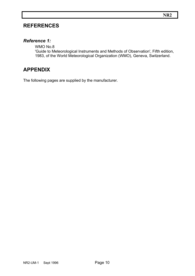## <span id="page-9-0"></span>**REFERENCES**

## *Reference 1:*

 WMO No.8 'Guide to Meteorological Instruments and Methods of Observation', Fifth edition, 1983, of the World Meteorological Organization (WMO), Geneva, Switzerland.

## **APPENDIX**

The following pages are supplied by the manufacturer.